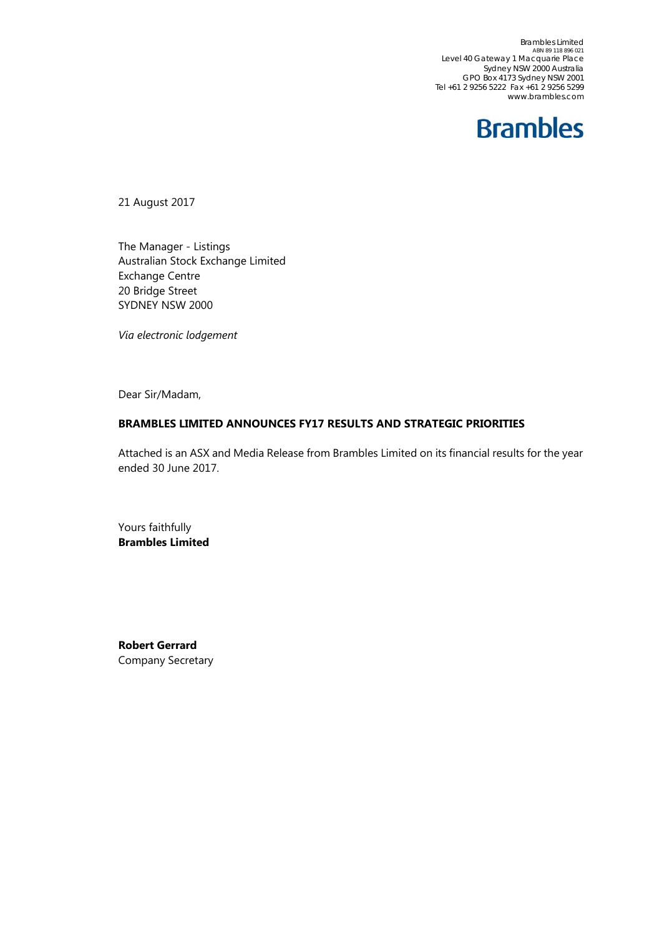Brambles Limited<br>ABN 89 118 896 021 Level 40 Gateway 1 Macquarie Place Sydney NSW 2000 Australia GPO Box 4173 Sydney NSW 2001 Tel +61 2 9256 5222 Fax +61 2 9256 5299 www.brambles.com



21 August 2017

The Manager - Listings Australian Stock Exchange Limited Exchange Centre 20 Bridge Street SYDNEY NSW 2000

*Via electronic lodgement*

Dear Sir/Madam,

#### **BRAMBLES LIMITED ANNOUNCES FY17 RESULTS AND STRATEGIC PRIORITIES**

Attached is an ASX and Media Release from Brambles Limited on its financial results for the year ended 30 June 2017.

Yours faithfully **Brambles Limited** 

**Robert Gerrard**  Company Secretary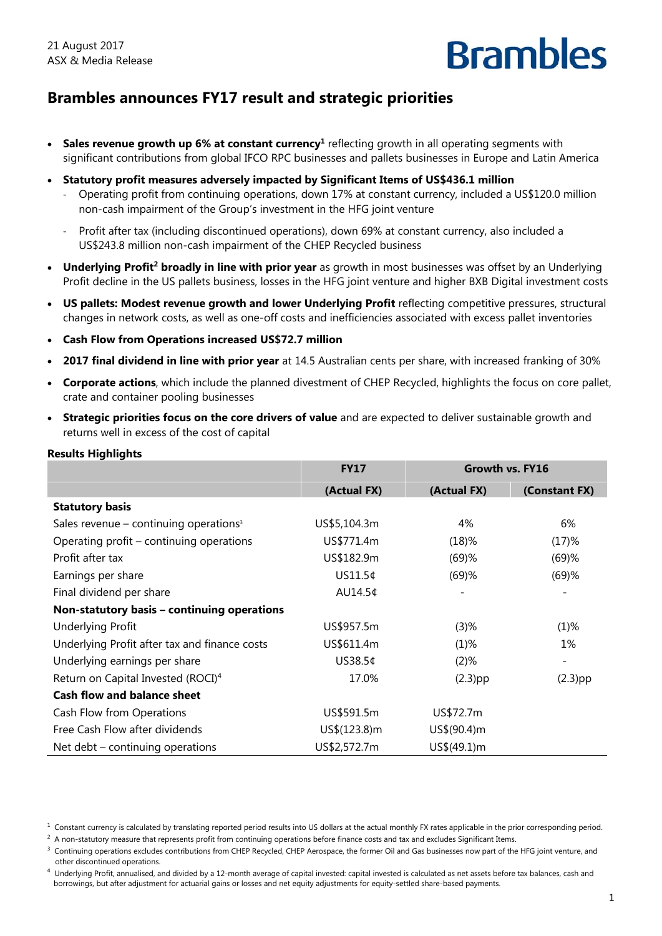## **Brambles announces FY17 result and strategic priorities**

- **Sales revenue growth up 6% at constant currency<sup>1</sup> reflecting growth in all operating segments with** significant contributions from global IFCO RPC businesses and pallets businesses in Europe and Latin America
- **Statutory profit measures adversely impacted by Significant Items of US\$436.1 million**
	- ‐ Operating profit from continuing operations, down 17% at constant currency, included a US\$120.0 million non-cash impairment of the Group's investment in the HFG joint venture
	- ‐ Profit after tax (including discontinued operations), down 69% at constant currency, also included a US\$243.8 million non-cash impairment of the CHEP Recycled business
- **Underlying Profit<sup>2</sup> broadly in line with prior year** as growth in most businesses was offset by an Underlying Profit decline in the US pallets business, losses in the HFG joint venture and higher BXB Digital investment costs
- **US pallets: Modest revenue growth and lower Underlying Profit** reflecting competitive pressures, structural changes in network costs, as well as one-off costs and inefficiencies associated with excess pallet inventories
- **Cash Flow from Operations increased US\$72.7 million**
- **2017 final dividend in line with prior year** at 14.5 Australian cents per share, with increased franking of 30%
- **Corporate actions**, which include the planned divestment of CHEP Recycled, highlights the focus on core pallet, crate and container pooling businesses
- **Strategic priorities focus on the core drivers of value** and are expected to deliver sustainable growth and returns well in excess of the cost of capital

| <b>Results Highlights</b>                            |              |              |                 |
|------------------------------------------------------|--------------|--------------|-----------------|
|                                                      | <b>FY17</b>  |              | Growth vs. FY16 |
|                                                      | (Actual FX)  | (Actual FX)  | (Constant FX)   |
| <b>Statutory basis</b>                               |              |              |                 |
| Sales revenue $-$ continuing operations <sup>3</sup> | US\$5,104.3m | 4%           | 6%              |
| Operating profit - continuing operations             | US\$771.4m   | (18)%        | (17)%           |
| Profit after tax                                     | US\$182.9m   | (69)%        | (69)%           |
| Earnings per share                                   | US11.5¢      | (69)%        | (69)%           |
| Final dividend per share                             | AU14.5¢      |              |                 |
| Non-statutory basis - continuing operations          |              |              |                 |
| <b>Underlying Profit</b>                             | US\$957.5m   | $(3)$ %      | $(1)\%$         |
| Underlying Profit after tax and finance costs        | US\$611.4m   | (1)%         | 1%              |
| Underlying earnings per share                        | US38.5¢      | (2)%         |                 |
| Return on Capital Invested (ROCI) <sup>4</sup>       | 17.0%        | $(2.3)$ pp   | $(2.3)$ pp      |
| <b>Cash flow and balance sheet</b>                   |              |              |                 |
| Cash Flow from Operations                            | US\$591.5m   | US\$72.7m    |                 |
| Free Cash Flow after dividends                       | US\$(123.8)m | US\$(90.4) m |                 |
| Net debt $-$ continuing operations                   | US\$2,572.7m | US\$(49.1)m  |                 |

 $1$  Constant currency is calculated by translating reported period results into US dollars at the actual monthly FX rates applicable in the prior corresponding period.

 $^2$  A non-statutory measure that represents profit from continuing operations before finance costs and tax and excludes Significant Items.

 $3$  Continuing operations excludes contributions from CHEP Recycled, CHEP Aerospace, the former Oil and Gas businesses now part of the HFG joint venture, and other discontinued operations.

<sup>&</sup>lt;sup>4</sup> Underlying Profit, annualised, and divided by a 12-month average of capital invested: capital invested is calculated as net assets before tax balances, cash and borrowings, but after adjustment for actuarial gains or losses and net equity adjustments for equity-settled share-based payments.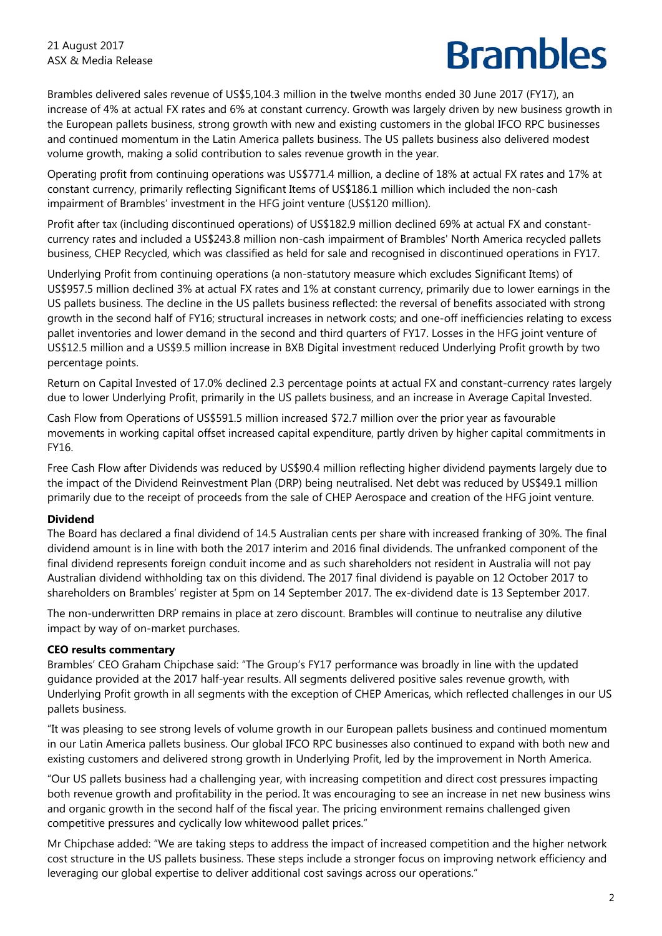Brambles delivered sales revenue of US\$5,104.3 million in the twelve months ended 30 June 2017 (FY17), an increase of 4% at actual FX rates and 6% at constant currency. Growth was largely driven by new business growth in the European pallets business, strong growth with new and existing customers in the global IFCO RPC businesses and continued momentum in the Latin America pallets business. The US pallets business also delivered modest volume growth, making a solid contribution to sales revenue growth in the year.

Operating profit from continuing operations was US\$771.4 million, a decline of 18% at actual FX rates and 17% at constant currency, primarily reflecting Significant Items of US\$186.1 million which included the non-cash impairment of Brambles' investment in the HFG joint venture (US\$120 million).

Profit after tax (including discontinued operations) of US\$182.9 million declined 69% at actual FX and constantcurrency rates and included a US\$243.8 million non-cash impairment of Brambles' North America recycled pallets business, CHEP Recycled, which was classified as held for sale and recognised in discontinued operations in FY17.

Underlying Profit from continuing operations (a non-statutory measure which excludes Significant Items) of US\$957.5 million declined 3% at actual FX rates and 1% at constant currency, primarily due to lower earnings in the US pallets business. The decline in the US pallets business reflected: the reversal of benefits associated with strong growth in the second half of FY16; structural increases in network costs; and one-off inefficiencies relating to excess pallet inventories and lower demand in the second and third quarters of FY17. Losses in the HFG joint venture of US\$12.5 million and a US\$9.5 million increase in BXB Digital investment reduced Underlying Profit growth by two percentage points.

Return on Capital Invested of 17.0% declined 2.3 percentage points at actual FX and constant-currency rates largely due to lower Underlying Profit, primarily in the US pallets business, and an increase in Average Capital Invested.

Cash Flow from Operations of US\$591.5 million increased \$72.7 million over the prior year as favourable movements in working capital offset increased capital expenditure, partly driven by higher capital commitments in FY16.

Free Cash Flow after Dividends was reduced by US\$90.4 million reflecting higher dividend payments largely due to the impact of the Dividend Reinvestment Plan (DRP) being neutralised. Net debt was reduced by US\$49.1 million primarily due to the receipt of proceeds from the sale of CHEP Aerospace and creation of the HFG joint venture.

## **Dividend**

The Board has declared a final dividend of 14.5 Australian cents per share with increased franking of 30%. The final dividend amount is in line with both the 2017 interim and 2016 final dividends. The unfranked component of the final dividend represents foreign conduit income and as such shareholders not resident in Australia will not pay Australian dividend withholding tax on this dividend. The 2017 final dividend is payable on 12 October 2017 to shareholders on Brambles' register at 5pm on 14 September 2017. The ex-dividend date is 13 September 2017.

The non-underwritten DRP remains in place at zero discount. Brambles will continue to neutralise any dilutive impact by way of on-market purchases.

## **CEO results commentary**

Brambles' CEO Graham Chipchase said: "The Group's FY17 performance was broadly in line with the updated guidance provided at the 2017 half-year results. All segments delivered positive sales revenue growth, with Underlying Profit growth in all segments with the exception of CHEP Americas, which reflected challenges in our US pallets business.

"It was pleasing to see strong levels of volume growth in our European pallets business and continued momentum in our Latin America pallets business. Our global IFCO RPC businesses also continued to expand with both new and existing customers and delivered strong growth in Underlying Profit, led by the improvement in North America.

"Our US pallets business had a challenging year, with increasing competition and direct cost pressures impacting both revenue growth and profitability in the period. It was encouraging to see an increase in net new business wins and organic growth in the second half of the fiscal year. The pricing environment remains challenged given competitive pressures and cyclically low whitewood pallet prices."

Mr Chipchase added: "We are taking steps to address the impact of increased competition and the higher network cost structure in the US pallets business. These steps include a stronger focus on improving network efficiency and leveraging our global expertise to deliver additional cost savings across our operations."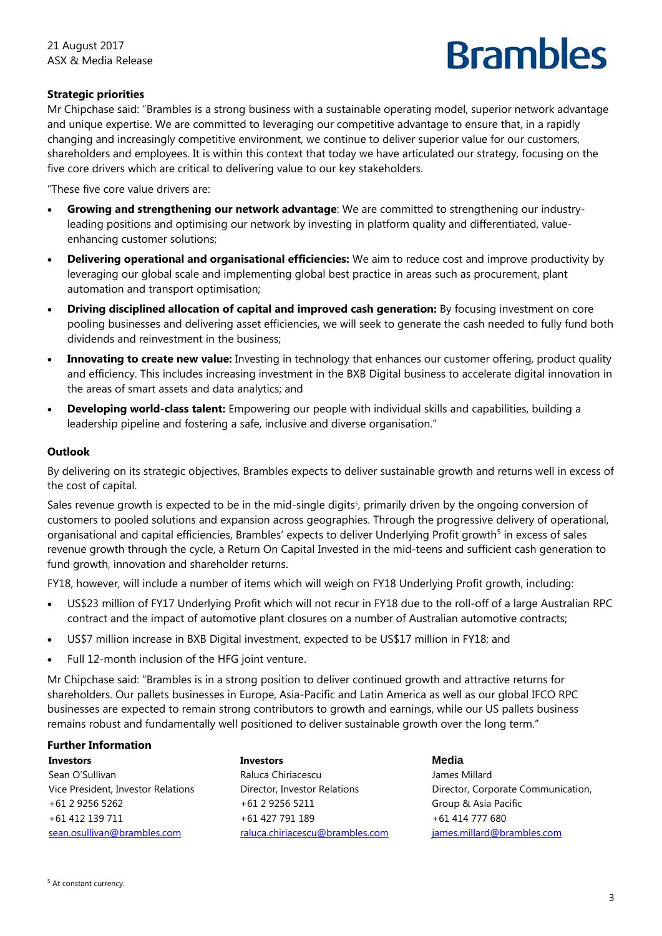## **Strategic priorities**

Mr Chipchase said: "Brambles is a strong business with a sustainable operating model, superior network advantage and unique expertise. We are committed to leveraging our competitive advantage to ensure that, in a rapidly changing and increasingly competitive environment, we continue to deliver superior value for our customers, shareholders and employees. It is within this context that today we have articulated our strategy, focusing on the five core drivers which are critical to delivering value to our key stakeholders.

"These five core value drivers are:

- **Growing and strengthening our network advantage**: We are committed to strengthening our industryleading positions and optimising our network by investing in platform quality and differentiated, valueenhancing customer solutions;
- **Delivering operational and organisational efficiencies:** We aim to reduce cost and improve productivity by leveraging our global scale and implementing global best practice in areas such as procurement, plant automation and transport optimisation;
- **Driving disciplined allocation of capital and improved cash generation:** By focusing investment on core pooling businesses and delivering asset efficiencies, we will seek to generate the cash needed to fully fund both dividends and reinvestment in the business;
- **Innovating to create new value:** Investing in technology that enhances our customer offering, product quality and efficiency. This includes increasing investment in the BXB Digital business to accelerate digital innovation in the areas of smart assets and data analytics; and
- **Developing world-class talent:** Empowering our people with individual skills and capabilities, building a leadership pipeline and fostering a safe, inclusive and diverse organisation."

#### **Outlook**

By delivering on its strategic objectives, Brambles expects to deliver sustainable growth and returns well in excess of the cost of capital.

Sales revenue growth is expected to be in the mid-single digits<sup>5</sup>, primarily driven by the ongoing conversion of customers to pooled solutions and expansion across geographies. Through the progressive delivery of operational, organisational and capital efficiencies, Brambles' expects to deliver Underlying Profit growth<sup>5</sup> in excess of sales revenue growth through the cycle, a Return On Capital Invested in the mid-teens and sufficient cash generation to fund growth, innovation and shareholder returns.

FY18, however, will include a number of items which will weigh on FY18 Underlying Profit growth, including:

- US\$23 million of FY17 Underlying Profit which will not recur in FY18 due to the roll-off of a large Australian RPC contract and the impact of automotive plant closures on a number of Australian automotive contracts;
- US\$7 million increase in BXB Digital investment, expected to be US\$17 million in FY18; and
- Full 12-month inclusion of the HFG joint venture.

Mr Chipchase said: "Brambles is in a strong position to deliver continued growth and attractive returns for shareholders. Our pallets businesses in Europe, Asia-Pacific and Latin America as well as our global IFCO RPC businesses are expected to remain strong contributors to growth and earnings, while our US pallets business remains robust and fundamentally well positioned to deliver sustainable growth over the long term."

#### **Further Information**

**Investors**  Sean O'Sullivan Vice President, Investor Relations +61 2 9256 5262 +61 412 139 711 sean.osullivan@brambles.com

**Investors**  Raluca Chiriacescu Director, Investor Relations +61 2 9256 5211 +61 427 791 189 raluca.chiriacescu@brambles.com

**Media** James Millard Director, Corporate Communication, Group & Asia Pacific +61 414 777 680 james.millard@brambles.com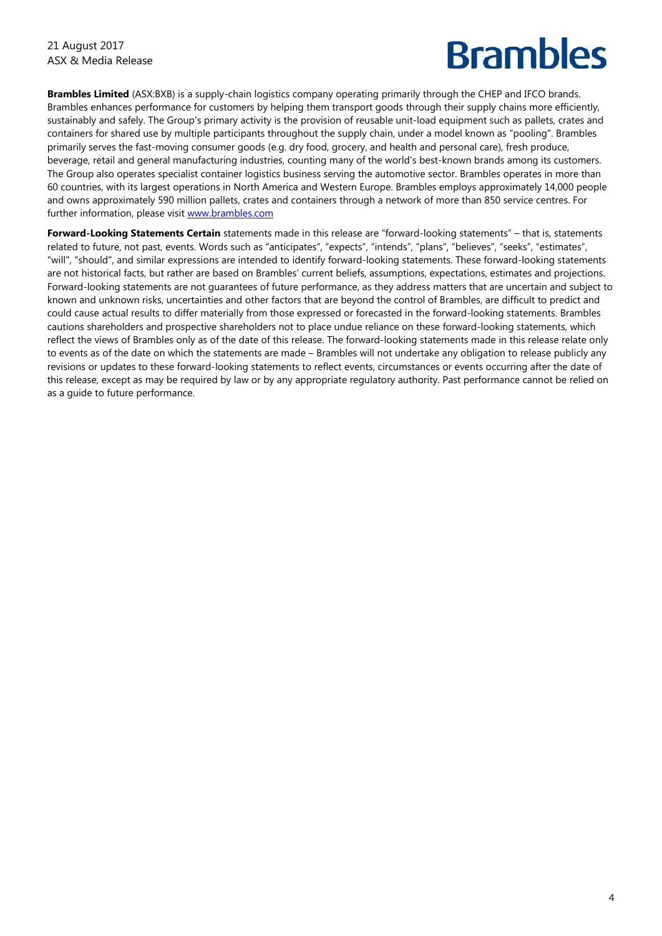**Brambles Limited** (ASX:BXB) is a supply-chain logistics company operating primarily through the CHEP and IFCO brands. Brambles enhances performance for customers by helping them transport goods through their supply chains more efficiently, sustainably and safely. The Group's primary activity is the provision of reusable unit-load equipment such as pallets, crates and containers for shared use by multiple participants throughout the supply chain, under a model known as "pooling". Brambles primarily serves the fast-moving consumer goods (e.g. dry food, grocery, and health and personal care), fresh produce, beverage, retail and general manufacturing industries, counting many of the world's best-known brands among its customers. The Group also operates specialist container logistics business serving the automotive sector. Brambles operates in more than 60 countries, with its largest operations in North America and Western Europe. Brambles employs approximately 14,000 people and owns approximately 590 million pallets, crates and containers through a network of more than 850 service centres. For further information, please visit www.brambles.com

**Forward-Looking Statements Certain** statements made in this release are "forward-looking statements" – that is, statements related to future, not past, events. Words such as "anticipates", "expects", "intends", "plans", "believes", "seeks", "estimates", "will", "should", and similar expressions are intended to identify forward-looking statements. These forward-looking statements are not historical facts, but rather are based on Brambles' current beliefs, assumptions, expectations, estimates and projections. Forward-looking statements are not guarantees of future performance, as they address matters that are uncertain and subject to known and unknown risks, uncertainties and other factors that are beyond the control of Brambles, are difficult to predict and could cause actual results to differ materially from those expressed or forecasted in the forward-looking statements. Brambles cautions shareholders and prospective shareholders not to place undue reliance on these forward-looking statements, which reflect the views of Brambles only as of the date of this release. The forward-looking statements made in this release relate only to events as of the date on which the statements are made – Brambles will not undertake any obligation to release publicly any revisions or updates to these forward-looking statements to reflect events, circumstances or events occurring after the date of this release, except as may be required by law or by any appropriate regulatory authority. Past performance cannot be relied on as a guide to future performance.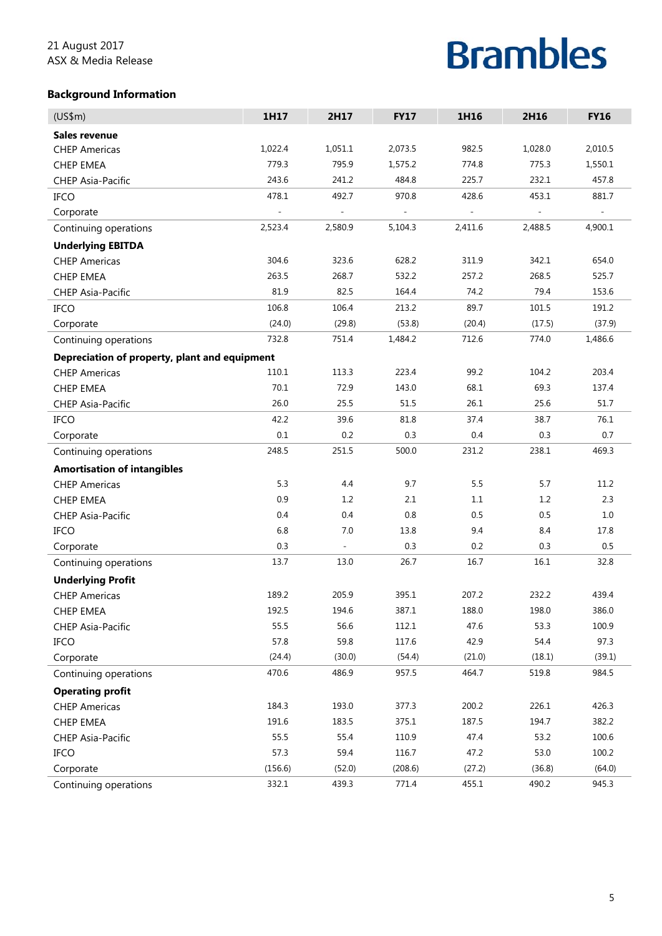## **Background Information**

| (US\$m)                                       | 1H17    | 2H17                     | <b>FY17</b> | 1H16    | 2H16    | <b>FY16</b> |
|-----------------------------------------------|---------|--------------------------|-------------|---------|---------|-------------|
| <b>Sales revenue</b>                          |         |                          |             |         |         |             |
| <b>CHEP Americas</b>                          | 1,022.4 | 1,051.1                  | 2,073.5     | 982.5   | 1,028.0 | 2,010.5     |
| <b>CHEP EMEA</b>                              | 779.3   | 795.9                    | 1,575.2     | 774.8   | 775.3   | 1,550.1     |
| <b>CHEP Asia-Pacific</b>                      | 243.6   | 241.2                    | 484.8       | 225.7   | 232.1   | 457.8       |
| <b>IFCO</b>                                   | 478.1   | 492.7                    | 970.8       | 428.6   | 453.1   | 881.7       |
| Corporate                                     |         | ÷,                       |             | ÷       |         |             |
| Continuing operations                         | 2,523.4 | 2,580.9                  | 5,104.3     | 2,411.6 | 2,488.5 | 4,900.1     |
| <b>Underlying EBITDA</b>                      |         |                          |             |         |         |             |
| <b>CHEP Americas</b>                          | 304.6   | 323.6                    | 628.2       | 311.9   | 342.1   | 654.0       |
| <b>CHEP EMEA</b>                              | 263.5   | 268.7                    | 532.2       | 257.2   | 268.5   | 525.7       |
| <b>CHEP Asia-Pacific</b>                      | 81.9    | 82.5                     | 164.4       | 74.2    | 79.4    | 153.6       |
| <b>IFCO</b>                                   | 106.8   | 106.4                    | 213.2       | 89.7    | 101.5   | 191.2       |
| Corporate                                     | (24.0)  | (29.8)                   | (53.8)      | (20.4)  | (17.5)  | (37.9)      |
| Continuing operations                         | 732.8   | 751.4                    | 1,484.2     | 712.6   | 774.0   | 1,486.6     |
| Depreciation of property, plant and equipment |         |                          |             |         |         |             |
| <b>CHEP Americas</b>                          | 110.1   | 113.3                    | 223.4       | 99.2    | 104.2   | 203.4       |
| <b>CHEP EMEA</b>                              | 70.1    | 72.9                     | 143.0       | 68.1    | 69.3    | 137.4       |
| <b>CHEP Asia-Pacific</b>                      | 26.0    | 25.5                     | 51.5        | 26.1    | 25.6    | 51.7        |
| IFCO                                          | 42.2    | 39.6                     | 81.8        | 37.4    | 38.7    | 76.1        |
| Corporate                                     | $0.1\,$ | 0.2                      | 0.3         | 0.4     | 0.3     | 0.7         |
| Continuing operations                         | 248.5   | 251.5                    | 500.0       | 231.2   | 238.1   | 469.3       |
| <b>Amortisation of intangibles</b>            |         |                          |             |         |         |             |
| <b>CHEP Americas</b>                          | 5.3     | 4.4                      | 9.7         | 5.5     | 5.7     | 11.2        |
| <b>CHEP EMEA</b>                              | 0.9     | 1.2                      | 2.1         | 1.1     | 1.2     | 2.3         |
| <b>CHEP Asia-Pacific</b>                      | 0.4     | 0.4                      | 0.8         | 0.5     | 0.5     | $1.0\,$     |
| <b>IFCO</b>                                   | 6.8     | 7.0                      | 13.8        | 9.4     | 8.4     | 17.8        |
| Corporate                                     | 0.3     | $\overline{\phantom{a}}$ | 0.3         | 0.2     | 0.3     | 0.5         |
| Continuing operations                         | 13.7    | 13.0                     | 26.7        | 16.7    | 16.1    | 32.8        |
| <b>Underlying Profit</b>                      |         |                          |             |         |         |             |
| <b>CHEP Americas</b>                          | 189.2   | 205.9                    | 395.1       | 207.2   | 232.2   | 439.4       |
| CHEP EMEA                                     | 192.5   | 194.6                    | 387.1       | 188.0   | 198.0   | 386.0       |
| CHEP Asia-Pacific                             | 55.5    | 56.6                     | 112.1       | 47.6    | 53.3    | 100.9       |
| <b>IFCO</b>                                   | 57.8    | 59.8                     | 117.6       | 42.9    | 54.4    | 97.3        |
| Corporate                                     | (24.4)  | (30.0)                   | (54.4)      | (21.0)  | (18.1)  | (39.1)      |
| Continuing operations                         | 470.6   | 486.9                    | 957.5       | 464.7   | 519.8   | 984.5       |
| <b>Operating profit</b>                       |         |                          |             |         |         |             |
| <b>CHEP Americas</b>                          | 184.3   | 193.0                    | 377.3       | 200.2   | 226.1   | 426.3       |
| <b>CHEP EMEA</b>                              | 191.6   | 183.5                    | 375.1       | 187.5   | 194.7   | 382.2       |
| CHEP Asia-Pacific                             | 55.5    | 55.4                     | 110.9       | 47.4    | 53.2    | 100.6       |
| <b>IFCO</b>                                   | 57.3    | 59.4                     | 116.7       | 47.2    | 53.0    | 100.2       |
| Corporate                                     | (156.6) | (52.0)                   | (208.6)     | (27.2)  | (36.8)  | (64.0)      |
| Continuing operations                         | 332.1   | 439.3                    | 771.4       | 455.1   | 490.2   | 945.3       |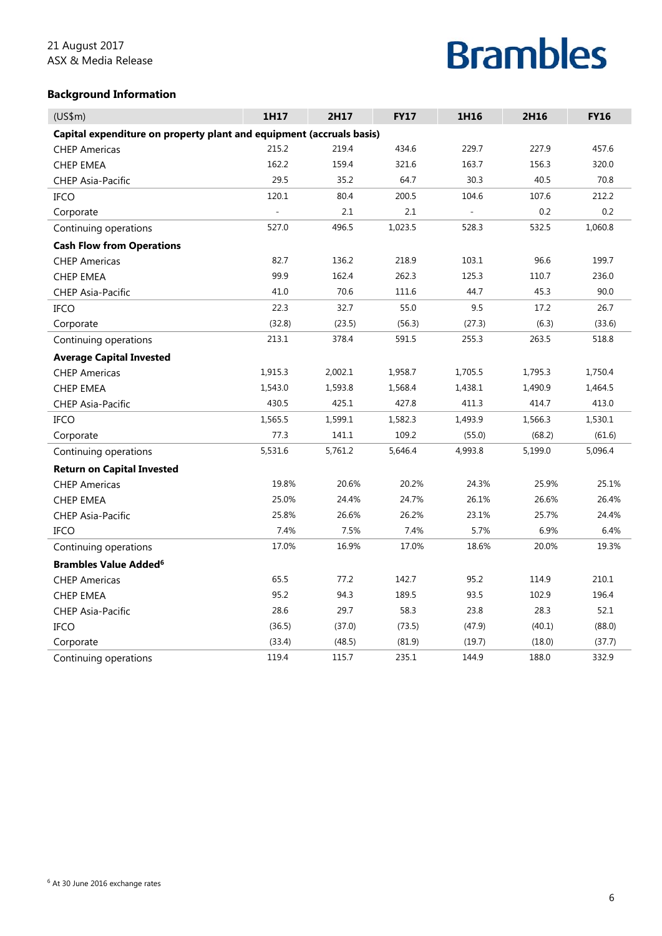## **Background Information**

| (US\$m)                                                              | 1H17    | 2H17    | <b>FY17</b> | 1H16           | 2H16    | <b>FY16</b> |
|----------------------------------------------------------------------|---------|---------|-------------|----------------|---------|-------------|
| Capital expenditure on property plant and equipment (accruals basis) |         |         |             |                |         |             |
| <b>CHEP Americas</b>                                                 | 215.2   | 219.4   | 434.6       | 229.7          | 227.9   | 457.6       |
| <b>CHEP EMEA</b>                                                     | 162.2   | 159.4   | 321.6       | 163.7          | 156.3   | 320.0       |
| CHEP Asia-Pacific                                                    | 29.5    | 35.2    | 64.7        | 30.3           | 40.5    | 70.8        |
| <b>IFCO</b>                                                          | 120.1   | 80.4    | 200.5       | 104.6          | 107.6   | 212.2       |
| Corporate                                                            |         | 2.1     | 2.1         | $\overline{a}$ | 0.2     | 0.2         |
| Continuing operations                                                | 527.0   | 496.5   | 1,023.5     | 528.3          | 532.5   | 1,060.8     |
| <b>Cash Flow from Operations</b>                                     |         |         |             |                |         |             |
| <b>CHEP Americas</b>                                                 | 82.7    | 136.2   | 218.9       | 103.1          | 96.6    | 199.7       |
| <b>CHEP EMEA</b>                                                     | 99.9    | 162.4   | 262.3       | 125.3          | 110.7   | 236.0       |
| <b>CHEP Asia-Pacific</b>                                             | 41.0    | 70.6    | 111.6       | 44.7           | 45.3    | 90.0        |
| <b>IFCO</b>                                                          | 22.3    | 32.7    | 55.0        | 9.5            | 17.2    | 26.7        |
| Corporate                                                            | (32.8)  | (23.5)  | (56.3)      | (27.3)         | (6.3)   | (33.6)      |
| Continuing operations                                                | 213.1   | 378.4   | 591.5       | 255.3          | 263.5   | 518.8       |
| <b>Average Capital Invested</b>                                      |         |         |             |                |         |             |
| <b>CHEP Americas</b>                                                 | 1,915.3 | 2,002.1 | 1,958.7     | 1,705.5        | 1,795.3 | 1,750.4     |
| <b>CHEP EMEA</b>                                                     | 1,543.0 | 1,593.8 | 1,568.4     | 1,438.1        | 1,490.9 | 1,464.5     |
| <b>CHEP Asia-Pacific</b>                                             | 430.5   | 425.1   | 427.8       | 411.3          | 414.7   | 413.0       |
| IFCO                                                                 | 1,565.5 | 1,599.1 | 1,582.3     | 1,493.9        | 1,566.3 | 1,530.1     |
| Corporate                                                            | 77.3    | 141.1   | 109.2       | (55.0)         | (68.2)  | (61.6)      |
| Continuing operations                                                | 5,531.6 | 5,761.2 | 5,646.4     | 4,993.8        | 5,199.0 | 5,096.4     |
| <b>Return on Capital Invested</b>                                    |         |         |             |                |         |             |
| <b>CHEP Americas</b>                                                 | 19.8%   | 20.6%   | 20.2%       | 24.3%          | 25.9%   | 25.1%       |
| <b>CHEP EMEA</b>                                                     | 25.0%   | 24.4%   | 24.7%       | 26.1%          | 26.6%   | 26.4%       |
| CHEP Asia-Pacific                                                    | 25.8%   | 26.6%   | 26.2%       | 23.1%          | 25.7%   | 24.4%       |
| <b>IFCO</b>                                                          | 7.4%    | 7.5%    | 7.4%        | 5.7%           | 6.9%    | 6.4%        |
| Continuing operations                                                | 17.0%   | 16.9%   | 17.0%       | 18.6%          | 20.0%   | 19.3%       |
| <b>Brambles Value Added<sup>6</sup></b>                              |         |         |             |                |         |             |
| <b>CHEP Americas</b>                                                 | 65.5    | 77.2    | 142.7       | 95.2           | 114.9   | 210.1       |
| <b>CHEP EMEA</b>                                                     | 95.2    | 94.3    | 189.5       | 93.5           | 102.9   | 196.4       |
| <b>CHEP Asia-Pacific</b>                                             | 28.6    | 29.7    | 58.3        | 23.8           | 28.3    | 52.1        |
| IFCO                                                                 | (36.5)  | (37.0)  | (73.5)      | (47.9)         | (40.1)  | (88.0)      |
| Corporate                                                            | (33.4)  | (48.5)  | (81.9)      | (19.7)         | (18.0)  | (37.7)      |
| Continuing operations                                                | 119.4   | 115.7   | 235.1       | 144.9          | 188.0   | 332.9       |